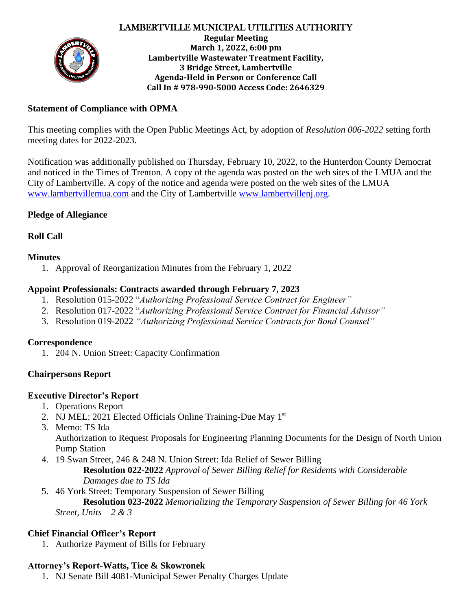## LAMBERTVILLE MUNICIPAL UTILITIES AUTHORITY



**Regular Meeting March 1, 2022, 6:00 pm Lambertville Wastewater Treatment Facility, 3 Bridge Street, Lambertville Agenda-Held in Person or Conference Call Call In # 978-990-5000 Access Code: 2646329**

#### **Statement of Compliance with OPMA**

This meeting complies with the Open Public Meetings Act, by adoption of *Resolution 006-2022* setting forth meeting dates for 2022-2023.

Notification was additionally published on Thursday, February 10, 2022, to the Hunterdon County Democrat and noticed in the Times of Trenton. A copy of the agenda was posted on the web sites of the LMUA and the City of Lambertville. A copy of the notice and agenda were posted on the web sites of the LMUA [www.lambertvillemua.com](http://www.lambertvillemua.com/) and the City of Lambertville [www.lambertvillenj.org.](http://www.lambertvillenj.org/)

#### **Pledge of Allegiance**

**Roll Call**

## **Minutes**

1. Approval of Reorganization Minutes from the February 1, 2022

## **Appoint Professionals: Contracts awarded through February 7, 2023**

- 1. Resolution 015-2022 "*Authorizing Professional Service Contract for Engineer"*
- 2. Resolution 017-2022 "*Authorizing Professional Service Contract for Financial Advisor"*
- 3. Resolution 019-2022 *"Authorizing Professional Service Contracts for Bond Counsel"*

#### **Correspondence**

1. 204 N. Union Street: Capacity Confirmation

## **Chairpersons Report**

#### **Executive Director's Report**

- 1. Operations Report
- 2. NJ MEL: 2021 Elected Officials Online Training-Due May 1<sup>st</sup>
- 3. Memo: TS Ida

Authorization to Request Proposals for Engineering Planning Documents for the Design of North Union Pump Station

4. 19 Swan Street, 246 & 248 N. Union Street: Ida Relief of Sewer Billing

**Resolution 022-2022** *Approval of Sewer Billing Relief for Residents with Considerable Damages due to TS Ida*

5. 46 York Street: Temporary Suspension of Sewer Billing

**Resolution 023-2022** *Memorializing the Temporary Suspension of Sewer Billing for 46 York Street, Units 2 & 3*

## **Chief Financial Officer's Report**

1. Authorize Payment of Bills for February

# **Attorney's Report-Watts, Tice & Skowronek**

1. NJ Senate Bill 4081-Municipal Sewer Penalty Charges Update